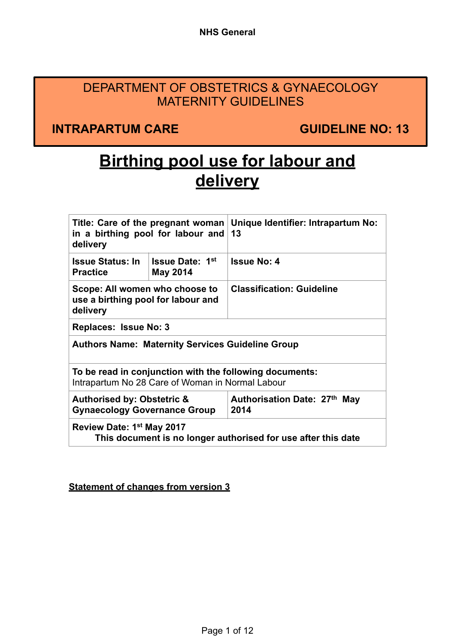# DEPARTMENT OF OBSTETRICS & GYNAECOLOGY MATERNITY GUIDELINES

**INTRAPARTUM CARE GUIDELINE NO: 13** 

# **Birthing pool use for labour and delivery**

| Title: Care of the pregnant woman   Unique Identifier: Intrapartum No:<br>in a birthing pool for labour and<br>delivery |                                           | 13                                   |  |  |
|-------------------------------------------------------------------------------------------------------------------------|-------------------------------------------|--------------------------------------|--|--|
| <b>Issue Status: In</b><br><b>Practice</b>                                                                              | <b>Issue Date: 1st</b><br><b>May 2014</b> | <b>Issue No: 4</b>                   |  |  |
| Scope: All women who choose to<br>use a birthing pool for labour and<br>delivery                                        |                                           | <b>Classification: Guideline</b>     |  |  |
| Replaces: Issue No: 3                                                                                                   |                                           |                                      |  |  |
| <b>Authors Name: Maternity Services Guideline Group</b>                                                                 |                                           |                                      |  |  |
| To be read in conjunction with the following documents:<br>Intrapartum No 28 Care of Woman in Normal Labour             |                                           |                                      |  |  |
| <b>Authorised by: Obstetric &amp;</b><br><b>Gynaecology Governance Group</b>                                            |                                           | Authorisation Date: 27th May<br>2014 |  |  |
| Review Date: 1 <sup>st</sup> May 2017<br>This document is no longer authorised for use after this date                  |                                           |                                      |  |  |

**Statement of changes from version 3**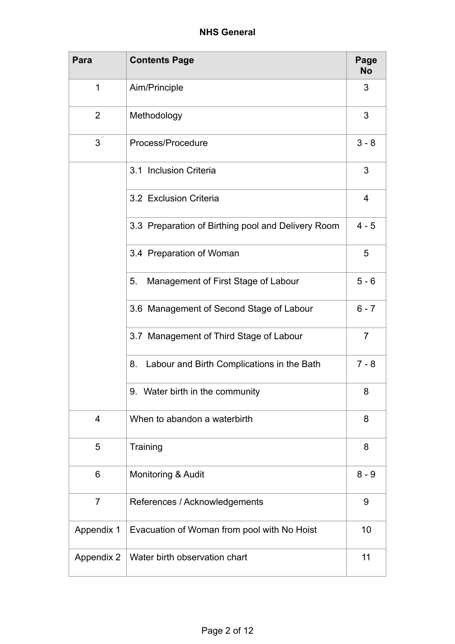| Para           | <b>Contents Page</b>                               | Page<br>No     |
|----------------|----------------------------------------------------|----------------|
| 1              | Aim/Principle                                      | 3              |
| $\overline{2}$ | Methodology                                        | 3              |
| 3              | Process/Procedure                                  | $3 - 8$        |
|                | 3.1 Inclusion Criteria                             | 3              |
|                | 3.2 Exclusion Criteria                             | $\overline{4}$ |
|                | 3.3 Preparation of Birthing pool and Delivery Room | $4 - 5$        |
|                | 3.4 Preparation of Woman                           | 5              |
|                | Management of First Stage of Labour<br>5.          | $5 - 6$        |
|                | 3.6 Management of Second Stage of Labour           | $6 - 7$        |
|                | 3.7 Management of Third Stage of Labour            | $\overline{7}$ |
|                | Labour and Birth Complications in the Bath<br>8.   | $7 - 8$        |
|                | 9. Water birth in the community                    | 8              |
| $\overline{4}$ | When to abandon a waterbirth                       | 8              |
| 5              | Training                                           | 8              |
| 6              | Monitoring & Audit                                 | $8 - 9$        |
| $\overline{7}$ | References / Acknowledgements                      | 9              |
| Appendix 1     | Evacuation of Woman from pool with No Hoist        | 10             |
| Appendix 2     | Water birth observation chart                      | 11             |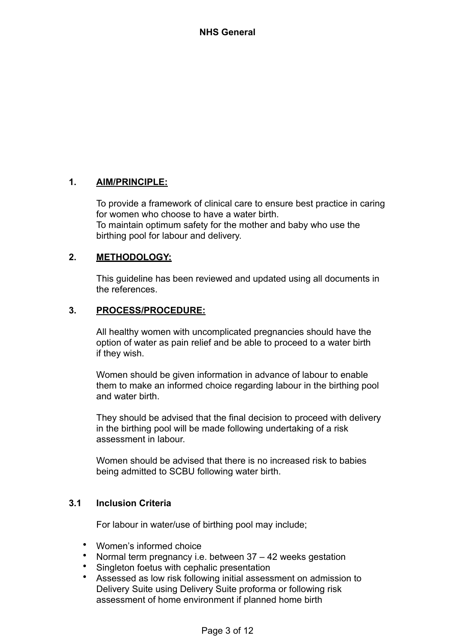# **1. AIM/PRINCIPLE:**

To provide a framework of clinical care to ensure best practice in caring for women who choose to have a water birth. To maintain optimum safety for the mother and baby who use the birthing pool for labour and delivery.

# **2. METHODOLOGY:**

This guideline has been reviewed and updated using all documents in the references.

# **3. PROCESS/PROCEDURE:**

All healthy women with uncomplicated pregnancies should have the option of water as pain relief and be able to proceed to a water birth if they wish.

Women should be given information in advance of labour to enable them to make an informed choice regarding labour in the birthing pool and water birth.

They should be advised that the final decision to proceed with delivery in the birthing pool will be made following undertaking of a risk assessment in labour.

Women should be advised that there is no increased risk to babies being admitted to SCBU following water birth.

# **3.1 Inclusion Criteria**

For labour in water/use of birthing pool may include;

- Women's informed choice<br>• Normal term pregnancy i.e
- Normal term pregnancy i.e. between 37 42 weeks gestation
- Singleton foetus with cephalic presentation
- Assessed as low risk following initial assessment on admission to Delivery Suite using Delivery Suite proforma or following risk assessment of home environment if planned home birth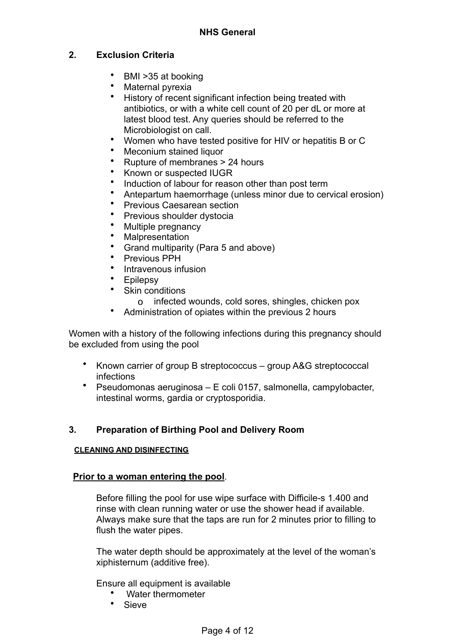# **2. Exclusion Criteria**

- BMI >35 at booking
- Maternal pyrexia
- History of recent significant infection being treated with antibiotics, or with a white cell count of 20 per dL or more at latest blood test. Any queries should be referred to the Microbiologist on call.
- Women who have tested positive for HIV or hepatitis B or C
- Meconium stained liquor
- Rupture of membranes > 24 hours
- Known or suspected IUGR
- Induction of labour for reason other than post term
- Antepartum haemorrhage (unless minor due to cervical erosion)
- Previous Caesarean section
- Previous shoulder dystocia
- Multiple pregnancy
- **Malpresentation**
- Grand multiparity (Para 5 and above)
- Previous PPH
- Intravenous infusion
- **Epilepsy**
- Skin conditions
	- o infected wounds, cold sores, shingles, chicken pox
- Administration of opiates within the previous 2 hours

Women with a history of the following infections during this pregnancy should be excluded from using the pool

- Known carrier of group B streptococcus group A&G streptococcal infections
- Pseudomonas aeruginosa E coli 0157, salmonella, campylobacter, intestinal worms, gardia or cryptosporidia.

# **3. Preparation of Birthing Pool and Delivery Room**

#### **CLEANING AND DISINFECTING**

#### **Prior to a woman entering the pool**.

Before filling the pool for use wipe surface with Difficile-s 1.400 and rinse with clean running water or use the shower head if available. Always make sure that the taps are run for 2 minutes prior to filling to flush the water pipes.

The water depth should be approximately at the level of the woman's xiphisternum (additive free).

Ensure all equipment is available

- Water thermometer
- Sieve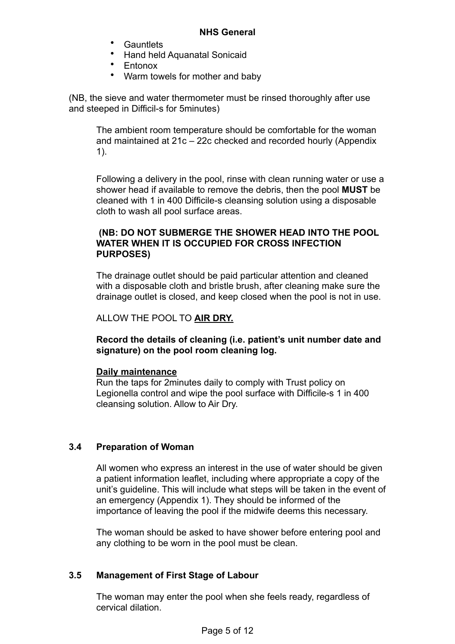- Gauntlets
- Hand held Aquanatal Sonicaid
- Entonox
- Warm towels for mother and baby

(NB, the sieve and water thermometer must be rinsed thoroughly after use and steeped in Difficil-s for 5minutes)

The ambient room temperature should be comfortable for the woman and maintained at 21c – 22c checked and recorded hourly (Appendix 1).

Following a delivery in the pool, rinse with clean running water or use a shower head if available to remove the debris, then the pool **MUST** be cleaned with 1 in 400 Difficile-s cleansing solution using a disposable cloth to wash all pool surface areas.

# **(NB: DO NOT SUBMERGE THE SHOWER HEAD INTO THE POOL WATER WHEN IT IS OCCUPIED FOR CROSS INFECTION PURPOSES)**

The drainage outlet should be paid particular attention and cleaned with a disposable cloth and bristle brush, after cleaning make sure the drainage outlet is closed, and keep closed when the pool is not in use.

ALLOW THE POOL TO **AIR DRY.**

**Record the details of cleaning (i.e. patient's unit number date and signature) on the pool room cleaning log.**

#### **Daily maintenance**

Run the taps for 2minutes daily to comply with Trust policy on Legionella control and wipe the pool surface with Difficile-s 1 in 400 cleansing solution. Allow to Air Dry.

# **3.4 Preparation of Woman**

All women who express an interest in the use of water should be given a patient information leaflet, including where appropriate a copy of the unit's guideline. This will include what steps will be taken in the event of an emergency (Appendix 1). They should be informed of the importance of leaving the pool if the midwife deems this necessary.

The woman should be asked to have shower before entering pool and any clothing to be worn in the pool must be clean.

# **3.5 Management of First Stage of Labour**

The woman may enter the pool when she feels ready, regardless of cervical dilation.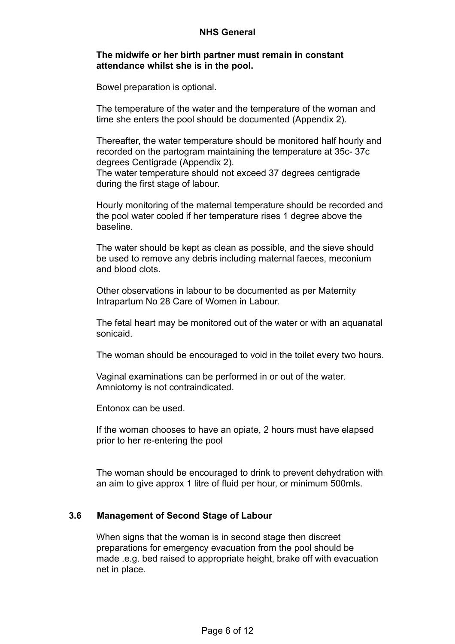#### **The midwife or her birth partner must remain in constant attendance whilst she is in the pool.**

Bowel preparation is optional.

The temperature of the water and the temperature of the woman and time she enters the pool should be documented (Appendix 2).

Thereafter, the water temperature should be monitored half hourly and recorded on the partogram maintaining the temperature at 35c- 37c degrees Centigrade (Appendix 2). The water temperature should not exceed 37 degrees centigrade during the first stage of labour.

Hourly monitoring of the maternal temperature should be recorded and the pool water cooled if her temperature rises 1 degree above the baseline.

The water should be kept as clean as possible, and the sieve should be used to remove any debris including maternal faeces, meconium and blood clots.

Other observations in labour to be documented as per Maternity Intrapartum No 28 Care of Women in Labour.

The fetal heart may be monitored out of the water or with an aquanatal sonicaid.

The woman should be encouraged to void in the toilet every two hours.

Vaginal examinations can be performed in or out of the water. Amniotomy is not contraindicated.

Entonox can be used.

If the woman chooses to have an opiate, 2 hours must have elapsed prior to her re-entering the pool

The woman should be encouraged to drink to prevent dehydration with an aim to give approx 1 litre of fluid per hour, or minimum 500mls.

#### **3.6 Management of Second Stage of Labour**

When signs that the woman is in second stage then discreet preparations for emergency evacuation from the pool should be made .e.g. bed raised to appropriate height, brake off with evacuation net in place.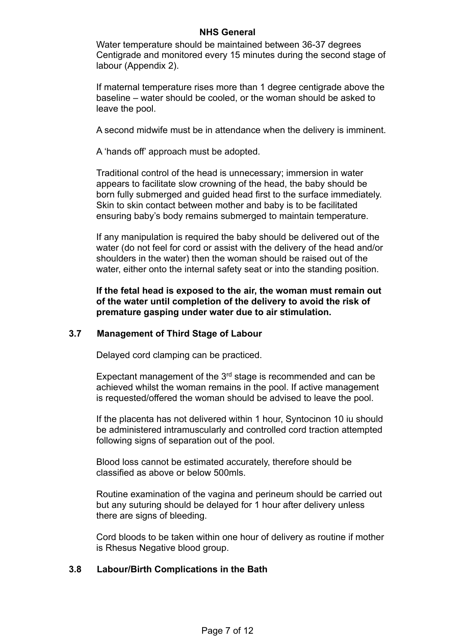Water temperature should be maintained between 36-37 degrees Centigrade and monitored every 15 minutes during the second stage of labour (Appendix 2).

If maternal temperature rises more than 1 degree centigrade above the baseline – water should be cooled, or the woman should be asked to leave the pool.

A second midwife must be in attendance when the delivery is imminent.

A 'hands off' approach must be adopted.

Traditional control of the head is unnecessary; immersion in water appears to facilitate slow crowning of the head, the baby should be born fully submerged and guided head first to the surface immediately. Skin to skin contact between mother and baby is to be facilitated ensuring baby's body remains submerged to maintain temperature.

If any manipulation is required the baby should be delivered out of the water (do not feel for cord or assist with the delivery of the head and/or shoulders in the water) then the woman should be raised out of the water, either onto the internal safety seat or into the standing position.

**If the fetal head is exposed to the air, the woman must remain out of the water until completion of the delivery to avoid the risk of premature gasping under water due to air stimulation.**

#### **3.7 Management of Third Stage of Labour**

Delayed cord clamping can be practiced.

Expectant management of the  $3<sup>rd</sup>$  stage is recommended and can be achieved whilst the woman remains in the pool. If active management is requested/offered the woman should be advised to leave the pool.

If the placenta has not delivered within 1 hour, Syntocinon 10 iu should be administered intramuscularly and controlled cord traction attempted following signs of separation out of the pool.

Blood loss cannot be estimated accurately, therefore should be classified as above or below 500mls.

Routine examination of the vagina and perineum should be carried out but any suturing should be delayed for 1 hour after delivery unless there are signs of bleeding.

Cord bloods to be taken within one hour of delivery as routine if mother is Rhesus Negative blood group.

#### **3.8 Labour/Birth Complications in the Bath**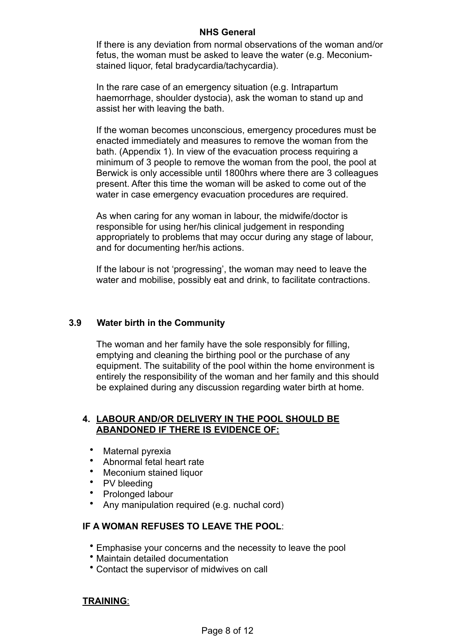If there is any deviation from normal observations of the woman and/or fetus, the woman must be asked to leave the water (e.g. Meconiumstained liquor, fetal bradycardia/tachycardia).

In the rare case of an emergency situation (e.g. Intrapartum haemorrhage, shoulder dystocia), ask the woman to stand up and assist her with leaving the bath.

If the woman becomes unconscious, emergency procedures must be enacted immediately and measures to remove the woman from the bath. (Appendix 1). In view of the evacuation process requiring a minimum of 3 people to remove the woman from the pool, the pool at Berwick is only accessible until 1800hrs where there are 3 colleagues present. After this time the woman will be asked to come out of the water in case emergency evacuation procedures are required.

As when caring for any woman in labour, the midwife/doctor is responsible for using her/his clinical judgement in responding appropriately to problems that may occur during any stage of labour, and for documenting her/his actions.

If the labour is not 'progressing', the woman may need to leave the water and mobilise, possibly eat and drink, to facilitate contractions.

#### **3.9 Water birth in the Community**

The woman and her family have the sole responsibly for filling, emptying and cleaning the birthing pool or the purchase of any equipment. The suitability of the pool within the home environment is entirely the responsibility of the woman and her family and this should be explained during any discussion regarding water birth at home.

#### **4. LABOUR AND/OR DELIVERY IN THE POOL SHOULD BE ABANDONED IF THERE IS EVIDENCE OF:**

- Maternal pyrexia
- Abnormal fetal heart rate
- Meconium stained liquor
- PV bleeding
- Prolonged labour
- Any manipulation required (e.g. nuchal cord)

#### **IF A WOMAN REFUSES TO LEAVE THE POOL**:

- Emphasise your concerns and the necessity to leave the pool
- Maintain detailed documentation
- Contact the supervisor of midwives on call

#### **TRAINING**: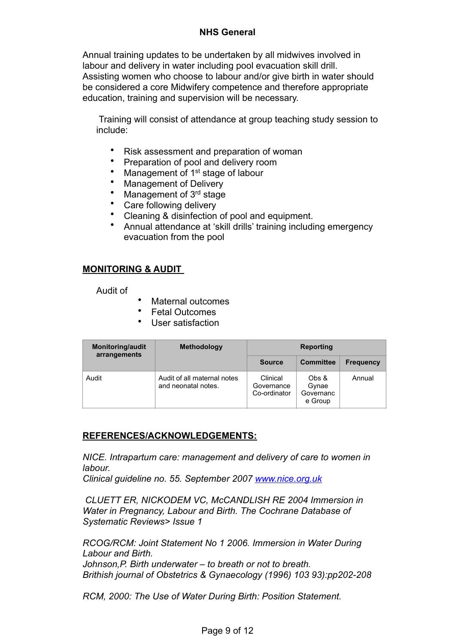Annual training updates to be undertaken by all midwives involved in labour and delivery in water including pool evacuation skill drill. Assisting women who choose to labour and/or give birth in water should be considered a core Midwifery competence and therefore appropriate education, training and supervision will be necessary.

 Training will consist of attendance at group teaching study session to include:

- Risk assessment and preparation of woman
- Preparation of pool and delivery room
- Management of 1<sup>st</sup> stage of labour
- Management of Delivery
- Management of 3<sup>rd</sup> stage
- Care following delivery
- Cleaning & disinfection of pool and equipment.
- Annual attendance at 'skill drills' training including emergency evacuation from the pool

# **MONITORING & AUDIT**

Audit of

- Maternal outcomes
- Fetal Outcomes
- User satisfaction

| Monitoring/audit<br>arrangements | <b>Methodology</b>                                 | <b>Reporting</b>                       |                                        |                  |
|----------------------------------|----------------------------------------------------|----------------------------------------|----------------------------------------|------------------|
|                                  |                                                    | <b>Source</b>                          | <b>Committee</b>                       | <b>Frequency</b> |
| Audit                            | Audit of all maternal notes<br>and neonatal notes. | Clinical<br>Governance<br>Co-ordinator | Obs &<br>Gynae<br>Governanc<br>e Group | Annual           |

#### **REFERENCES/ACKNOWLEDGEMENTS:**

*NICE. Intrapartum care: management and delivery of care to women in labour.*

*Clinical guideline no. 55. September 2007 [www.nice.org.uk](http://www.nice.org.uk)*

 *CLUETT ER, NICKODEM VC, McCANDLISH RE 2004 Immersion in Water in Pregnancy, Labour and Birth. The Cochrane Database of Systematic Reviews> Issue 1*

*RCOG/RCM: Joint Statement No 1 2006. Immersion in Water During Labour and Birth.*

*Johnson,P. Birth underwater – to breath or not to breath. Brithish journal of Obstetrics & Gynaecology (1996) 103 93):pp202-208*

*RCM, 2000: The Use of Water During Birth: Position Statement.*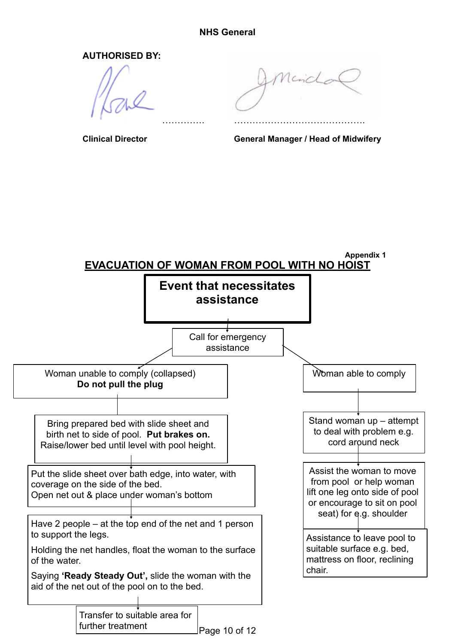**AUTHORISED BY:**

…………………………………. …………………………………….

Merichan

**Clinical Director General Manager / Head of Midwifery**

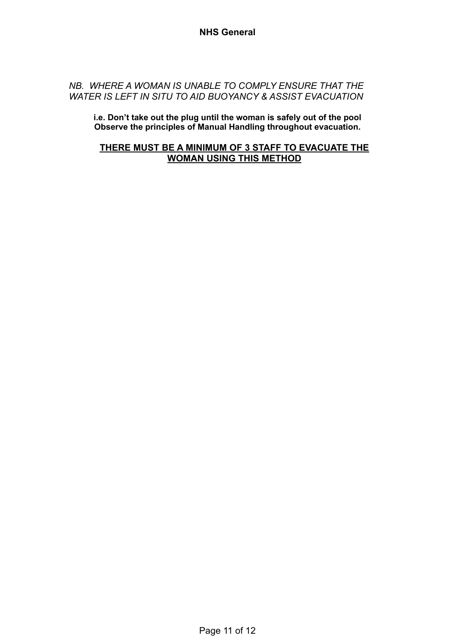### *NB. WHERE A WOMAN IS UNABLE TO COMPLY ENSURE THAT THE WATER IS LEFT IN SITU TO AID BUOYANCY & ASSIST EVACUATION*

**i.e. Don't take out the plug until the woman is safely out of the pool Observe the principles of Manual Handling throughout evacuation.**

# **THERE MUST BE A MINIMUM OF 3 STAFF TO EVACUATE THE WOMAN USING THIS METHOD**